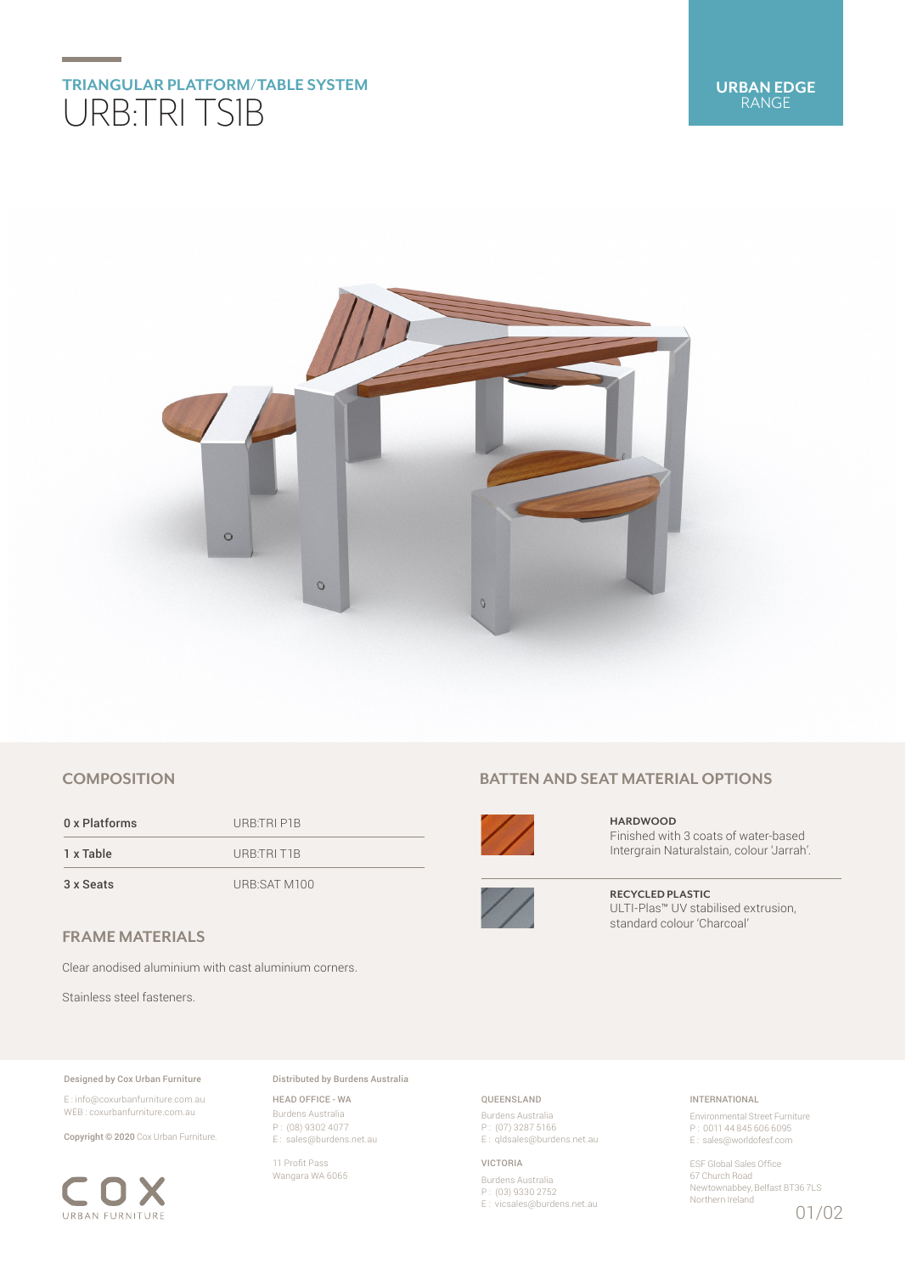

## **COMPOSITION**

0 x Platforms URB:TRI P1B 1 x Table URB:TRI T1B

3 x Seats URB:SAT M100

# **FRAME MATERIALS**

Clear anodised aluminium with cast aluminium corners.

Stainless steel fasteners.

#### Designed by Cox Urban Furniture

E : info@coxurbanfurniture.com.au WEB : coxurbanfurniture.com.au

Copyright © 2020 Cox Urban Furniture.



Distributed by Burdens Australia

HEAD OFFICE - WA Burdens Australia P : (08) 9302 4077 E : sales@burdens.net.au

11 Profit Pass Wangara WA 6065

# **BATTEN AND SEAT MATERIAL OPTIONS**



**HARDWOOD** Finished with 3 coats of water-based Intergrain Naturalstain, colour 'Jarrah'.



**RECYCLED PLASTIC** ULTI-Plas™ UV stabilised extrusion, standard colour 'Charcoal'

## QUEENSLAND

Burdens Australia P : (07) 3287 5166 E: qldsales@burdens.net.au

#### VICTORIA

Burdens Australia P : (03) 9330 2752 E : vicsales@burdens.net.au

## INTERNATIONAL

Environmental Street Furniture P : 0011 44 845 606 6095 E : sales@worldofesf.com

ESF Global Sales Office 67 Church Road Newtownabbey, Belfast BT36 7LS Northern Ireland 01/02